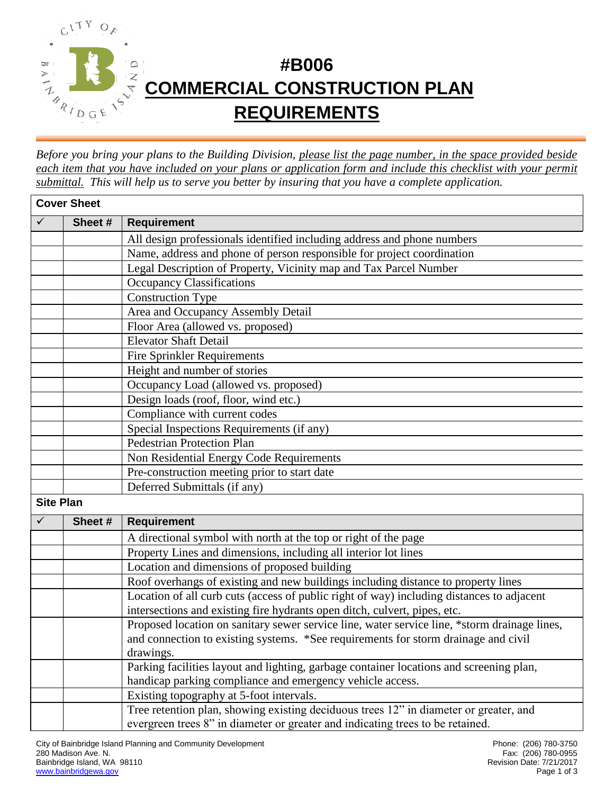

## **#B006 COMMERCIAL CONSTRUCTION PLAN REQUIREMENTS**

*Before you bring your plans to the Building Division, please list the page number, in the space provided beside each item that you have included on your plans or application form and include this checklist with your permit submittal. This will help us to serve you better by insuring that you have a complete application.*

| <b>Cover Sheet</b> |        |                                                                                              |  |  |
|--------------------|--------|----------------------------------------------------------------------------------------------|--|--|
| $\checkmark$       | Sheet# | <b>Requirement</b>                                                                           |  |  |
|                    |        | All design professionals identified including address and phone numbers                      |  |  |
|                    |        | Name, address and phone of person responsible for project coordination                       |  |  |
|                    |        | Legal Description of Property, Vicinity map and Tax Parcel Number                            |  |  |
|                    |        | <b>Occupancy Classifications</b>                                                             |  |  |
|                    |        | <b>Construction Type</b>                                                                     |  |  |
|                    |        | Area and Occupancy Assembly Detail                                                           |  |  |
|                    |        | Floor Area (allowed vs. proposed)                                                            |  |  |
|                    |        | <b>Elevator Shaft Detail</b>                                                                 |  |  |
|                    |        | <b>Fire Sprinkler Requirements</b>                                                           |  |  |
|                    |        | Height and number of stories                                                                 |  |  |
|                    |        | Occupancy Load (allowed vs. proposed)                                                        |  |  |
|                    |        | Design loads (roof, floor, wind etc.)                                                        |  |  |
|                    |        | Compliance with current codes                                                                |  |  |
|                    |        | Special Inspections Requirements (if any)                                                    |  |  |
|                    |        | <b>Pedestrian Protection Plan</b>                                                            |  |  |
|                    |        | Non Residential Energy Code Requirements                                                     |  |  |
|                    |        | Pre-construction meeting prior to start date                                                 |  |  |
|                    |        | Deferred Submittals (if any)                                                                 |  |  |
| <b>Site Plan</b>   |        |                                                                                              |  |  |
| $\checkmark$       | Sheet# | <b>Requirement</b>                                                                           |  |  |
|                    |        | A directional symbol with north at the top or right of the page                              |  |  |
|                    |        | Property Lines and dimensions, including all interior lot lines                              |  |  |
|                    |        | Location and dimensions of proposed building                                                 |  |  |
|                    |        | Roof overhangs of existing and new buildings including distance to property lines            |  |  |
|                    |        | Location of all curb cuts (access of public right of way) including distances to adjacent    |  |  |
|                    |        | intersections and existing fire hydrants open ditch, culvert, pipes, etc.                    |  |  |
|                    |        | Proposed location on sanitary sewer service line, water service line, *storm drainage lines, |  |  |
|                    |        | and connection to existing systems. *See requirements for storm drainage and civil           |  |  |
|                    |        | drawings.                                                                                    |  |  |
|                    |        | Parking facilities layout and lighting, garbage container locations and screening plan,      |  |  |
|                    |        | handicap parking compliance and emergency vehicle access.                                    |  |  |
|                    |        | Existing topography at 5-foot intervals.                                                     |  |  |
|                    |        | Tree retention plan, showing existing deciduous trees 12" in diameter or greater, and        |  |  |
|                    |        | evergreen trees 8" in diameter or greater and indicating trees to be retained.               |  |  |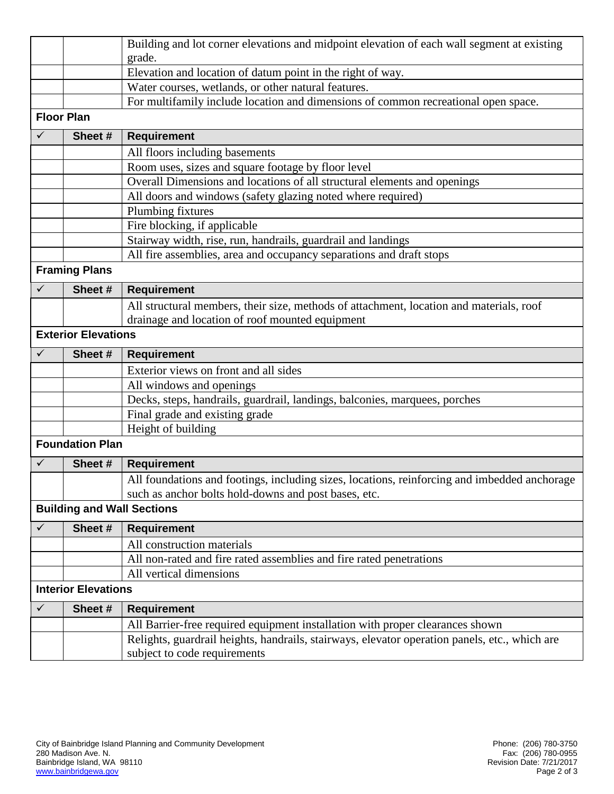|                   |                            | Building and lot corner elevations and midpoint elevation of each wall segment at existing    |  |  |  |
|-------------------|----------------------------|-----------------------------------------------------------------------------------------------|--|--|--|
|                   |                            | grade.                                                                                        |  |  |  |
|                   |                            | Elevation and location of datum point in the right of way.                                    |  |  |  |
|                   |                            | Water courses, wetlands, or other natural features.                                           |  |  |  |
|                   |                            | For multifamily include location and dimensions of common recreational open space.            |  |  |  |
| <b>Floor Plan</b> |                            |                                                                                               |  |  |  |
| $\checkmark$      | Sheet#                     | <b>Requirement</b>                                                                            |  |  |  |
|                   |                            | All floors including basements                                                                |  |  |  |
|                   |                            | Room uses, sizes and square footage by floor level                                            |  |  |  |
|                   |                            | Overall Dimensions and locations of all structural elements and openings                      |  |  |  |
|                   |                            | All doors and windows (safety glazing noted where required)                                   |  |  |  |
|                   |                            | Plumbing fixtures                                                                             |  |  |  |
|                   |                            | Fire blocking, if applicable                                                                  |  |  |  |
|                   |                            | Stairway width, rise, run, handrails, guardrail and landings                                  |  |  |  |
|                   |                            | All fire assemblies, area and occupancy separations and draft stops                           |  |  |  |
|                   | <b>Framing Plans</b>       |                                                                                               |  |  |  |
| $\checkmark$      | Sheet#                     | <b>Requirement</b>                                                                            |  |  |  |
|                   |                            | All structural members, their size, methods of attachment, location and materials, roof       |  |  |  |
|                   |                            | drainage and location of roof mounted equipment                                               |  |  |  |
|                   | <b>Exterior Elevations</b> |                                                                                               |  |  |  |
|                   |                            |                                                                                               |  |  |  |
| $\checkmark$      | Sheet#                     | <b>Requirement</b>                                                                            |  |  |  |
|                   |                            | Exterior views on front and all sides                                                         |  |  |  |
|                   |                            | All windows and openings                                                                      |  |  |  |
|                   |                            | Decks, steps, handrails, guardrail, landings, balconies, marquees, porches                    |  |  |  |
|                   |                            | Final grade and existing grade                                                                |  |  |  |
|                   |                            | Height of building                                                                            |  |  |  |
|                   | <b>Foundation Plan</b>     |                                                                                               |  |  |  |
| $\checkmark$      | Sheet#                     | <b>Requirement</b>                                                                            |  |  |  |
|                   |                            | All foundations and footings, including sizes, locations, reinforcing and imbedded anchorage  |  |  |  |
|                   |                            | such as anchor bolts hold-downs and post bases, etc.                                          |  |  |  |
|                   |                            | <b>Building and Wall Sections</b>                                                             |  |  |  |
| $\checkmark$      | Sheet#                     | <b>Requirement</b>                                                                            |  |  |  |
|                   |                            | All construction materials                                                                    |  |  |  |
|                   |                            | All non-rated and fire rated assemblies and fire rated penetrations                           |  |  |  |
|                   |                            | All vertical dimensions                                                                       |  |  |  |
|                   | <b>Interior Elevations</b> |                                                                                               |  |  |  |
| $\checkmark$      | Sheet #                    | <b>Requirement</b>                                                                            |  |  |  |
|                   |                            | All Barrier-free required equipment installation with proper clearances shown                 |  |  |  |
|                   |                            | Relights, guardrail heights, handrails, stairways, elevator operation panels, etc., which are |  |  |  |